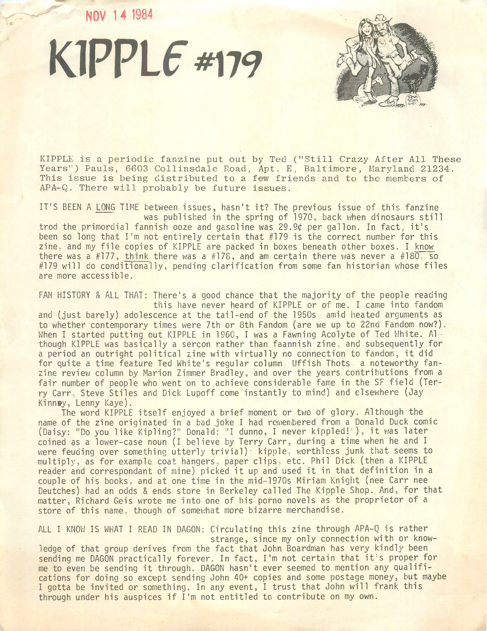**NOV 14 1984**





KIPPLE is a periodic fanzine put out by Ted ("Still Crazy After All These Years") Pauls, 6603 Collinsdale Road, Apt. E, Baltimore, Maryland 21234. This issue is being distributed to a few friends and to the members of APA-Q. There will probably be future issues.

IT'S BEEN A LONG TIME between issues, hasn't it? The previous issue of this fanzine was published in the spring of 1970, back when dinosaurs still trod the primordial fannish ooze and gasoline was 29.9¢ per gallon. In fact, it's been so long that I'm not entirely certain that #179 is the correct number for this zine, and my file copies of KIPPLE are packed in boxes beneath other boxes. <sup>I</sup> know there was a #177, think there was a #178, and am certain there was never a #180, so #179 will do conditionally, pending clarification from some fan historian whose files are more accessible.

FAN HISTORY & ALL THAT: There's a good chance that the majority of the people reading this have never heard of KIPPLE or of me. <sup>I</sup> came into fandom and (just barely) adolescence at the tail-end of the 1950s, amid heated arguments as to whether contemporary times were 7th or 8th Fandom (are we up to 22nd Fandom now?). When I started putting out KIPPLE in 1960, I was a Fawning Acolyte of Ted White. Although KIPPLE was basically a sercon rather than faannish zine, and subsequently for a period an outright political zine with virtually no connection to fandom, it did for quite a time feature Ted White's regular column. Uffish Thots, a noteworthy fanzine review column by Marion Zimmer Bradley, and over the years contributions from a fair number of people who went on to achieve considerable fame in the SF field (Terry Carr, Steve Stiles and Dick Lupoff come instantly to mind) and elsewhere (Jay Kinney, Lenny Kaye).

The word KIPPLE itself enjoyed a brief moment or two of glory. Although the name of the zine originated in a bad joke <sup>I</sup> had remembered from a Donald Duck comic (Daisy: "Do you like Kipling?" Donald: "I dunno, <sup>I</sup> never kippled! ), it was later coined as a lower-case noun (I believe by Terry Carr, during a time when he and <sup>I</sup> were feuding over something utterly trivial): kipple, worthless junk that seems to multiply, as for example coat hangers, paper clips, etc. Phil Dick (then a KIPPLE reader and correspondant of mine) picked it up and used it in that definition in a couple of his books, and at one time in the mid-1970s Miriam Knight (nee Carr nee Deutches) had an odds & ends store in Berkeley called The Kipple Shop. And, for that matter, Richard Geis wrote me into one of his porno novels as the proprietor of a store of this name, though of somewhat more bizarre merchandise.

ALL <sup>I</sup> KNOW IS WHAT <sup>I</sup> READ IN DAGON: Circulating this zine through APA-Q is rather strange, since my only connection with or knowledge of that group derives from the fact that John Boardman has very kindly been sending me DAGON practically forever. In fact, I'm not certain that it's proper for me to even be sending it through. DAGON hasn't ever seemed to mention any qualifications for doing so except sending John 40+ copies and some postage money, but maybe <sup>I</sup> gotta be invited or something. In any event, <sup>I</sup> trust that John will frank this through under his auspices if I'm not entitled to contribute on my own.